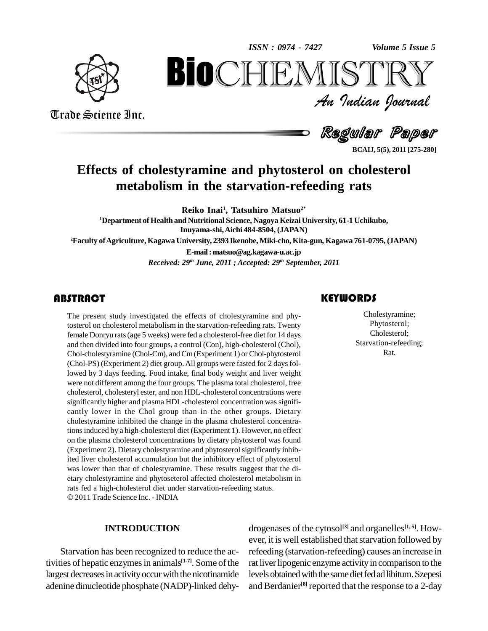*Volume 5 Issue 5*



Trade Science Inc.

Trade Science Inc.

An Indian Journal<br>Regul**ar Pa**per *Volume 5 Issue 5*<br> $\begin{array}{c} \bigcirc \mathbb{T} \mathbb{R} \mathbb{Y} \ \mathcal{I} \end{array}$ **BioCHEMISTRY**<br>Au Indian Journal<br>Regular Paper<br>estyramine and phytosterol on cholesterol<br>Sm in the starvation-refeeding rats

**BCAIJ, 5(5), 2011 [275-280]**

# **Effects of cholestyramine and phytosterol on cholesterol metabolism in thestarvation-refeeding rats**

**Reiko Inai<sup>1</sup> , Tatsuhiro Matsuo 2\* <sup>1</sup>Department of Health and Nutritional Science, Nagoya Keizai University, 61-1 Uchikubo, Inuyama-shi,Aichi 484-8504, (JAPAN) <sup>2</sup>Faculty ofAgriculture, Kagawa University, 2393 Ikenobe, Miki-cho, Kita-gun, Kagawa 761-0795, (JAPAN) E-mail:[matsuo@ag.kagawa-u.ac.jp](mailto:matsuo@ag.kagawa-u.ac.jp)**

*Received: 29 th June, 2011 ; Accepted: 29 th September, 2011*

The present study inves<br>tosterol on cholesterol me<br>female Donryu rats (age 5 The present study investigated the effects of cholestyramine and phytosterol on cholesterol metabolism in the starvation-refeeding rats.Twenty female Donryu rats (age 5 weeks) were fed a cholesterol-free diet for 14 days and then divided into four groups, a control (Con), high-cholesterol (Chol), Chol-cholestyramine (Chol-Cm), andCm(Experiment 1) or Chol-phytosterol (Chol-PS) (Experiment 2) diet group. All groups were fasted for 2 days followed by 3 days feeding. Food intake, final body weight and liver weight were not different among the four groups. The plasma total cholesterol, free cholesterol, cholesteryl ester, and non HDL-cholesterol concentrations were significantly higher and plasma HDL-cholesterol concentration was significantly lower in the Chol group than in the other groups. Dietary cholestyramine inhibited the change in the plasma cholesterol concentrationsinduced by a high-cholesterol diet (Experiment 1). However, no effect on the plasma cholesterol concentrations by dietary phytosterol was found (Experiment 2). Dietary cholestyramine and phytosterolsignificantly inhibited liver cholesterol accumulation but the inhibitory effect of phytosterol was lower than that of cholestyramine. These results suggest that the di etary cholestyramine and phytoseterol affected cholesterol metabolism in rats fed <sup>a</sup> high-cholesterol diet under starvation-refeeding status. 2011Trade Science Inc. - INDIA

#### **INTRODUCTION**

Starvation has been recognized to reduce the activities of hepatic enzymes in animals<sup>[1-7]</sup>. Some of the rat live largest decreases in activity occur with the nicotinamide adenine dinucleotide phosphate (NADP)-linked dehy-

### **KEYWORDS**

Cholestyramin<br>Phytosterol;<br>Cholesterol; Cholestyramine; Phytosterol; Cholesterol; Starvation-refeeding; Rat.

drogenases of the cytosol **[3]** and organelles **[1, 5]**. How ever, it is well established that starvation followed by refeeding (starvation-refeeding) causes an increase in rat liver lipogenic enzyme activity in comparison to the levels obtained with the same diet fed ad libitum. Szepesi and Berdanier<sup>[8]</sup> reported that the response to a 2-day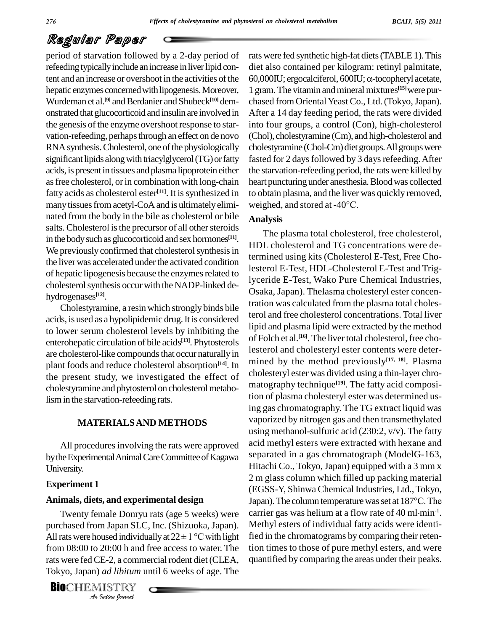period of starvation followed by a 2-day period of refeeding typically include an increase in liver lipid content and an increase or overshoot in the activities of the hepatic enzymes concerned with lipogenesis. Moreover, Wurdeman et al.<sup>[9]</sup> and Berdanier and Shubeck<sup>[10]</sup> dem- cha onstrated thatglucocorticoid and insulinare involved in the genesis of the enzyme overshoot response to starvation-refeeding, perhaps through an effect on de novo RNA synthesis. Cholesterol, one of the physiologically significant lipids along with triacylglycerol (TG) or fatty acids, is presentin tissues and plasma lipoprotein either as free cholesterol, or in combination with long-chain fatty acids as cholesterol ester<sup>[11]</sup>. It is synthesized in to obta many tissues from acetyl-CoA and is ultimately elimi- weighed, and stored at -40°C. nated from the body in the bile as cholesterol or bile salts. Cholesterol is the precursor of all other steroids in the body such as glucocorticoid and sex hormones<sup>[11]</sup>. We previously confirmed that cholesterol synthesis in the liver was accelerated under the activated condition of hepatic lipogenesis because the enzymes related to cholesterol synthesis occur with the NADP-linked dehydrogenases **[12]**.

Cholestyramine, a resin which strongly binds bile acids, is used as a hypolipidemic drug.It is considered to lower serum cholesterol levels by inhibiting the enterohepatic circulation of bile acids **[13]**. Phytosterols are cholesterol-like compounds that occur naturally in plant foods and reduce cholesterol absorption **[14]**. In the present study, we investigated the effect of cholestyramine and phytosterol on cholesterol metabolismin the starvation-refeeding rats.

#### **MATERIALSAND METHODS**

All procedures involving the rats were approved by the Experimental Animal Care Committee of Kagawa University.

#### **Experiment 1**

#### **Animals, diets, and experimental design**

purchased from Japan SLC, Inc. (Shizuoka, Japan). All rats were housed individually at  $22 \pm 1$  °C with light<br>from 08:00 to 20:00 h and free access to water. The<br>rats were fed CE-2, a commercial rodent diet (CLEA,<br>Tokyo, Japan) *ad libitum* until 6 weeks of age. The<br>**BIO** Twenty female Donryu rats (age 5 weeks) were Twenty female Donryu rats (age 5 weeks) were can<br>purchased from Japan SLC, Inc. (Shizuoka, Japan). Mo<br>All rats were housed individually at  $22 \pm 1$  °C with light fie from 08:00 to 20:00 h and free access to water. The rats were fed CE-2, a commercial rodent diet (CLEA, Tokyo, Japan) *ad libitum* until 6 weeks of age. The

**BIO**CHEMISTRY

rats were fed synthetic high-fat diets(TABLE 1).This diet also contained per kilogram: retinyl palmitate, 60,000IU; ergocalciferol, 600IU;  $\alpha$ -tocopheryl acetate, 1 gram. The vitamin and mineral mixtures<sup>[15]</sup> were purchased from Oriental Yeast Co., Ltd. (Tokyo, Japan). After a 14 day feeding period, the rats were divided into four groups, a control (Con), high-cholesterol (Chol), cholestyramine (Cm), and high-cholesterol and cholestyramine (Chol-Cm) diet groups. All groups were fasted for 2 days followed by 3 days refeeding. After the starvation-refeeding period, the rats were killed by heart puncturing under anesthesia. Blood was collected to obtain plasma, and the liver was quickly removed, heart puncturing under anesthesia. B<br>to obtain plasma, and the liver was<br>weighed, and stored at -40°C.

#### **Analysis**

The plasma total cholesterol, free cholesterol, HDL cholesterol and TG concentrations were determined using kits (Cholesterol E-Test, Free Cholesterol E-Test, HDL-Cholesterol E-Test and Triglyceride E-Test, Wako Pure Chemical Industries, Osaka, Japan). Thelasma cholesteryl ester concentration was calculated from the plasma total cholesterol and free cholesterol concentrations. Total liver lipid and plasma lipid were extracted by the method of Folch et al.<sup>[16]</sup>. The liver total cholesterol, free cholesterol and cholesteryl ester contents were deter mined by the method previously **[17, 18]**. Plasma cholesteryl ester was divided using a thin-layer chro matography technique **[19]**. The fatty acid composition of plasma cholesteryl ester was determined using gas chromatography. The TG extract liquid was vaporized by nitrogen gas and then transmethylated using methanol-sulfuric acid  $(230:2, v/v)$ . The fatty acid methyl esters were extracted with hexane and separated in a gas chromatograph (ModelG-163, Hitachi Co., Tokyo, Japan) equipped with a  $3 \text{ mm} x$ 2 m glass column which filled up packing material (EGSS-Y, Shinwa Chemical Industries, Ltd.,Tokyo, 2 m glass column which filled up packing material<br>(EGSS-Y, Shinwa Chemical Industries, Ltd., Tokyo,<br>Japan). The column temperature was set at 187°C. The (EGSS-Y, Shinwa Chemical Industries, Ltd., Tokyo,<br>Japan). The column temperature was set at 187°C. The<br>carrier gas was helium at a flow rate of 40 ml·min<sup>-1</sup>. -1 . Methyl esters of individual fatty acids were identified in the chromatograms by comparing their retention times to those of pure methyl esters, and were quantified by comparing the areas under their peaks.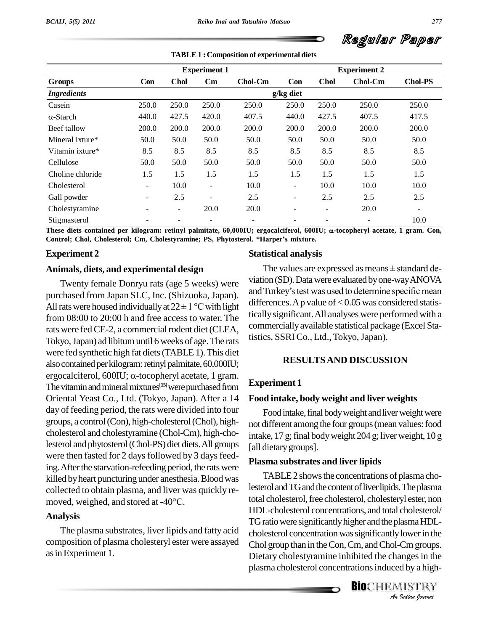

|                    |       | <b>Experiment 1</b> |                          | <b>Experiment 2</b> |                          |                          |                |                          |
|--------------------|-------|---------------------|--------------------------|---------------------|--------------------------|--------------------------|----------------|--------------------------|
| <b>Groups</b>      | Con   | <b>Chol</b>         | $\mathbf{C}\mathbf{m}$   | <b>Chol-Cm</b>      | Con                      | <b>Chol</b>              | <b>Chol-Cm</b> | <b>Chol-PS</b>           |
| <b>Ingredients</b> |       |                     |                          |                     | $g/kg$ diet              |                          |                |                          |
| Casein             | 250.0 | 250.0               | 250.0                    | 250.0               | 250.0                    | 250.0                    | 250.0          | 250.0                    |
| $\alpha$ -Starch   | 440.0 | 427.5               | 420.0                    | 407.5               | 440.0                    | 427.5                    | 407.5          | 417.5                    |
| Beef tallow        | 200.0 | 200.0               | 200.0                    | 200.0               | 200.0                    | 200.0                    | 200.0          | 200.0                    |
| Mineral ixture*    | 50.0  | 50.0                | 50.0                     | 50.0                | 50.0                     | 50.0                     | 50.0           | 50.0                     |
| Vitamin ixture*    | 8.5   | 8.5                 | 8.5                      | 8.5                 | 8.5                      | 8.5                      | 8.5            | 8.5                      |
| Cellulose          | 50.0  | 50.0                | 50.0                     | 50.0                | 50.0                     | 50.0                     | 50.0           | 50.0                     |
| Choline chloride   | 1.5   | 1.5                 | 1.5                      | 1.5                 | 1.5                      | 1.5                      | 1.5            | 1.5                      |
| Cholesterol        | -     | 10.0                | ٠                        | 10.0                | $\overline{\phantom{a}}$ | 10.0                     | 10.0           | 10.0                     |
| Gall powder        | -     | 2.5                 | $\overline{\phantom{a}}$ | 2.5                 | $\overline{\phantom{a}}$ | 2.5                      | 2.5            | 2.5                      |
| Cholestyramine     |       | $\sim$              | 20.0                     | 20.0                | ۰                        | $\overline{\phantom{0}}$ | 20.0           | $\overline{\phantom{a}}$ |
| Stigmasterol       |       |                     |                          |                     |                          |                          |                | 10.0                     |

**TABLE1 : Composition of experimental diets**

These diets contained per kilogram: retinyl palmitate,  $60,000$ IU; ergocalciferol,  $600$ IU;  $\alpha$ -tocopheryl acetate, 1 gram. Con, **Control; Chol, Cholesterol; Cm, Cholestyramine; PS, Phytosterol. \*Harperís mixture.**

### **Experiment 2**

#### **Animals, diets, and experimental design**

Twenty female Donryu rats (age 5 weeks) were purchased from Japan SLC, Inc. (Shizuoka, Japan). All rats were housed individually at  $22 \pm 1$  °C with light from 08:00 to 20:00 h and free access to water. The rats were fed CE-2, a commercial rodent diet (CLEA, Tokyo, Japan) ad libitum until 6 weeks of age. The rats were fed synthetic high fat diets (TABLE 1). This diet<br>also contained per kilogram: retinyl palmitate, 60,000IU;<br>ergocalciferol, 600IU; α-tocopheryl acetate, 1 gram. also contained per kilogram: retinyl palmitate, 60,000IU; The vitamin and mineral mixtures<sup>[15]</sup> were purchased from **Experimen** Oriental Yeast Co., Ltd. (Tokyo, Japan). After a 14 day of feeding period, the rats were divided into four groups, a control (Con), high-cholesterol (Chol), highcholesterol and cholestyramine (Chol-Cm), high-cholesterol and phytosterol (Chol-PS) diet diets. All groups were then fasted for 2 days followed by 3 days feeding. After the starvation-refeeding period, the rats were killed by heart puncturing under anesthesia. Blood was<br>collected to obtain plasma, and liver was quickly re-<br>moved, weighed, and stored at -40°C. total

#### **Analysis**

The plasma substrates, liver lipids and fatty acid composition of plasma cholesteryl ester were assayed asinExperiment 1.

### **Statistical analysis**

The values are expressed as means  $\pm$  standard deviation (SD).Datawere evaluated byone-wayANOVA and Turkey's test was used to determine specific mean differences. A p value of  $< 0.05$  was considered statisticallysignificant.All analyses were performed with a commerciallyavailable statistical package (Excel Statistics, SSRI Co., Ltd., Tokyo, Japan).

#### **RESULTSAND DISCUSSION**

#### **Experiment 1**

#### **Food intake, body weight and liver weights**

Food intake, final body weight and liver weight were not different among the four groups (mean values: food intake, 17 g; final body weight  $204$  g; liver weight,  $10 \text{ g}$ [all dietary groups].

#### **Plasma substrates and liver lipids**

cholesterol concentration was significantly lower in the<br>
Chol group than in the Con, Cm, and Chol-Cm groups.<br>
Dietary cholestyramine inhibited the changes in the<br>
plasma cholesterol concentrations induced by a high-<br> **BIO** TABLE 2 shows the concentrations of plasma cholesterol and TG and the content of liver lipids. The plasma total cholesterol, free cholesterol, cholesteryl ester, non HDL-cholesterol concentrations, and total cholesterol/ TG ratio were significantly higher and the plasma HDL-Chol group than in the Con, Cm, and Chol-Cm groups. Dietary cholestyramine inhibited the changes in the plasma cholesterol concentrations induced by a high-

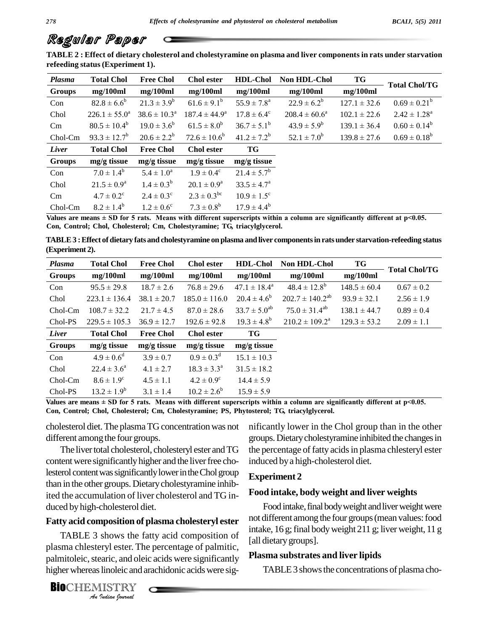TABLE 2 : Effect of dietary cholesterol and cholestyramine on plasma and liver components in rats under starvation **refeeding status(Experiment 1).**

| Plasma   | <b>Total Chol</b>     | <b>Free Chol</b>        | <b>Chol</b> ester                | <b>HDL-Chol</b>        | <b>Non HDL-Chol</b> | TG               | <b>Total Chol/TG</b> |
|----------|-----------------------|-------------------------|----------------------------------|------------------------|---------------------|------------------|----------------------|
| Groups   | mg/100ml              | mg/100ml                | mg/100ml<br>mg/100ml<br>mg/100ml |                        | mg/100ml            |                  |                      |
| Con      | $82.8 \pm 6.6^b$      | $21.3 \pm 3.9^b$        | $61.6 \pm 9.1^b$                 | $55.9 \pm 7.8^{\rm a}$ | $22.9 \pm 6.2^b$    | $127.1 \pm 32.6$ | $0.69 \pm 0.21^b$    |
| Chol     | $226.1 \pm 55.0^a$    | $38.6 \pm 10.3^{\circ}$ | $187.4 \pm 44.9^{\circ}$         | $17.8 \pm 6.4^{\circ}$ | $208.4 \pm 60.6^a$  | $102.1 \pm 22.6$ | $2.42 \pm 1.28^a$    |
| Cm       | $80.5 \pm 10.4^b$     | $19.0 \pm 3.6^b$        | $61.5 \pm 8.0^b$                 | $36.7 \pm 5.1^b$       | $43.9 \pm 5.9^b$    | $139.1 \pm 36.4$ | $0.60 \pm 0.14^b$    |
| Chol-Cm  | $93.3 \pm 12.7^b$     | $20.6 \pm 2.2^b$        | $72.6 \pm 10.6^{\circ}$          | $41.2 \pm 7.2^b$       | $52.1 \pm 7.0^b$    | $139.8 \pm 27.6$ | $0.69 \pm 0.18^b$    |
| Liver    | <b>Total Chol</b>     | <b>Free Chol</b>        | <b>Chol</b> ester                | TG                     |                     |                  |                      |
| Groups   | mg/g tissue           | $mg/g$ tissue           | $mg/g$ tissue                    | mg/g tissue            |                     |                  |                      |
| Con      | $7.0 \pm 1.4^b$       | $5.4 \pm 1.0^a$         | $1.9 \pm 0.4^c$                  | $21.4 \pm 5.7^b$       |                     |                  |                      |
| Chol     | $21.5 \pm 0.9^a$      | $1.4 \pm 0.3^b$         | $20.1 \pm 0.9^{\rm a}$           | $33.5 \pm 4.7^{\rm a}$ |                     |                  |                      |
| $\rm Cm$ | $4.7 \pm 0.2^{\circ}$ | $2.4 \pm 0.3^{\circ}$   | $2.3 \pm 0.3^{\rm bc}$           | $10.9 \pm 1.5^{\circ}$ |                     |                  |                      |
| Chol-Cm  | $8.2 \pm 1.4^b$       | $1.2 \pm 0.6^{\circ}$   | $7.3 \pm 0.8^b$                  | $17.9 \pm 4.4^b$       |                     |                  |                      |

Values are means  $\pm$  SD for 5 rats. Means with different superscripts within a column are significantly different at p<0.05. **Con, Control; Chol, Cholesterol; Cm, Cholestyramine; TG, triacylglycerol.**

**TABLE3 :Effect of dietary fats and cholestyramine on plasma andliver componentsin ratsunder starvation-refeeding status (Experiment 2).**

| Plasma        | <b>Total Chol</b><br><b>Free Chol</b> |                  | <b>HDL-Chol</b><br><b>Chol</b> ester |                         | <b>Non HDL-Chol</b>          | TG               | <b>Total Chol/TG</b> |  |
|---------------|---------------------------------------|------------------|--------------------------------------|-------------------------|------------------------------|------------------|----------------------|--|
| <b>Groups</b> | mg/100ml                              | mg/100ml         | mg/100ml                             | mg/100ml                | mg/100ml                     | mg/100ml         |                      |  |
| Con           | $95.5 \pm 29.8$                       | $18.7 \pm 2.6$   | $76.8 \pm 29.6$                      | $47.1 \pm 18.4^{\circ}$ | $48.4 \pm 12.8^b$            | $148.5 \pm 60.4$ | $0.67 \pm 0.2$       |  |
| Chol          | $223.1 \pm 136.4$                     | $38.1 \pm 20.7$  | $185.0 \pm 116.0$                    | $20.4 \pm 4.6^b$        | $202.7 \pm 140.2^{ab}$       | $93.9 \pm 32.1$  | $2.56 \pm 1.9$       |  |
| Chol-Cm       | $108.7 \pm 32.2$                      | $21.7 \pm 4.5$   | $87.0 \pm 28.6$                      | $33.7 \pm 5.0^{ab}$     | $75.0 \pm 31.4^{ab}$         | $138.1 \pm 44.7$ | $0.89 \pm 0.4$       |  |
| Chol-PS       | $229.5 \pm 105.3$                     | $36.9 \pm 12.7$  | $192.6 \pm 92.8$                     | $19.3 \pm 4.8^b$        | $210.2 \pm 109.2^{\text{a}}$ | $129.3 \pm 53.2$ | $2.09 \pm 1.1$       |  |
| Liver         | <b>Total Chol</b>                     | <b>Free Chol</b> | Chol ester                           | TG                      |                              |                  |                      |  |
| <b>Groups</b> | $mg/g$ tissue                         | $mg/g$ tissue    | $mg/g$ tissue                        | mg/g tissue             |                              |                  |                      |  |
| Con           | $4.9 \pm 0.6^d$                       | $3.9 \pm 0.7$    | $0.9 \pm 0.3$ <sup>d</sup>           | $15.1 \pm 10.3$         |                              |                  |                      |  |
| Chol          | $22.4 \pm 3.6^{\circ}$                | $4.1 \pm 2.7$    | $18.3 \pm 3.3^{\circ}$               | $31.5 \pm 18.2$         |                              |                  |                      |  |
| $Chol-Cm$     | $8.6 \pm 1.9^{\circ}$                 | $4.5 \pm 1.1$    | $4.2 \pm 0.9^{\circ}$                | $14.4 \pm 5.9$          |                              |                  |                      |  |
| Chol-PS       | $13.2 \pm 1.9^b$                      | $3.1 \pm 1.4$    | $10.2 \pm 2.6^b$                     | $15.9 \pm 5.9$          |                              |                  |                      |  |

Values are means  $\pm$  SD for 5 rats. Means with different superscripts within a column are significantly different at p<0.05. **Con, Control; Chol, Cholesterol; Cm, Cholestyramine; PS, Phytosterol; TG, triacylglycerol.**

cholesterol diet. The plasma TG concentration was not different among the four groups.

The liver total cholesterol, cholesteryl ester and TG content were significantly higher and the liver free cholesterol content was significantly lower in the Chol group than in the other groups. Dietary cholestyramine inhibited the accumulation of liver cholesterol and TG in duced byhigh-cholesterol diet.

#### **Fatty acid composition of plasma cholesteryl ester**

TABLE 3 shows the fatty acid composition of  $\text{fall}$ <br>
Ima chlesteryl ester. The percentage of palmitic,<br>
mitoleic, stearic, and oleic acids were significantly<br>
ner whereas linoleic and arachidonic acids were sig-<br> **OCHEMIS** plasma chlesteryl ester. The percentage of palmitic, palmitoleic, stearic, and oleic acids were significantly higher whereas linoleic and arachidonic acids were sig-

**BIO**CHEMISTRY

nificantly lower in the Chol group than in the other groups.Dietarycholestyramine inhibited the changesin the percentage of fatty acids in plasma chlesteryl ester induced bya high-cholesterol diet.

#### **Experiment 2**

#### **Food intake, body weight and liver weights**

Food intake, final body weight and liver weight were not different among the four groups (mean values: food intake, 16 g; final body weight 211 g; liver weight, 11 g [all dietary groups].

#### **Plasma substrates and liver lipids**

TABLE 3 shows the concentrations of plasma cho-

**278**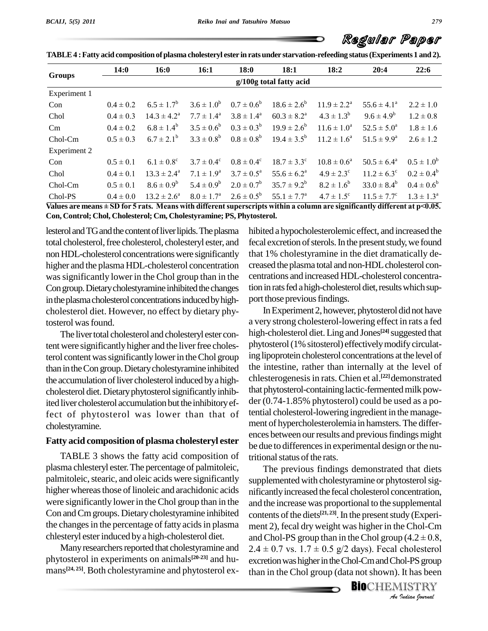|              | <b>14:0</b>             | <b>16:0</b>            | 16:1                  | 18:0                  | 18:1                   | 18:2                      | 20:4                   | 22:6              |  |  |  |
|--------------|-------------------------|------------------------|-----------------------|-----------------------|------------------------|---------------------------|------------------------|-------------------|--|--|--|
| Groups       | g/100g total fatty acid |                        |                       |                       |                        |                           |                        |                   |  |  |  |
| Experiment 1 |                         |                        |                       |                       |                        |                           |                        |                   |  |  |  |
| Con          | $0.4 \pm 0.2$           | $6.5 \pm 1.7^b$        | $3.6 \pm 1.0^b$       | $0.7 \pm 0.6^{\rm b}$ | $18.6 \pm 2.6^b$       | $11.9 \pm 2.2^{\text{a}}$ | $55.6 \pm 4.1^{\circ}$ | $2.2 \pm 1.0$     |  |  |  |
| Chol         | $0.4 \pm 0.3$           | $14.3 \pm 4.2^{\circ}$ | $7.7 \pm 1.4^{\rm a}$ | $3.8 \pm 1.4^{\circ}$ | $60.3 \pm 8.2^{\circ}$ | $4.3 \pm 1.3^b$           | $9.6 \pm 4.9^b$        | $1.2 \pm 0.8$     |  |  |  |
| $\rm Cm$     | $0.4 \pm 0.2$           | $6.8 \pm 1.4^b$        | $3.5 \pm 0.6^b$       | $0.3 \pm 0.3^b$       | $19.9 \pm 2.6^{\rm b}$ | $11.6 \pm 1.0^a$          | $52.5 \pm 5.0^{\circ}$ | $1.8 \pm 1.6$     |  |  |  |
| $Chol-Cm$    | $0.5 \pm 0.3$           | $6.7 \pm 2.1^b$        | $3.3 \pm 0.8^b$       | $0.8\pm0.8^{\rm b}$   | $19.4 \pm 3.5^{\rm b}$ | $11.2 \pm 1.6^{\circ}$    | $51.5 \pm 9.9^{\rm a}$ | $2.6 \pm 1.2$     |  |  |  |
| Experiment 2 |                         |                        |                       |                       |                        |                           |                        |                   |  |  |  |
| Con          | $0.5 \pm 0.1$           | $6.1 \pm 0.8^{\circ}$  | $3.7 \pm 0.4^c$       | $0.8 \pm 0.4^{\circ}$ | $18.7 \pm 3.3^{\circ}$ | $10.8 \pm 0.6^a$          | $50.5 \pm 6.4^{\circ}$ | $0.5 \pm 1.0^{6}$ |  |  |  |
| Chol         | $0.4 \pm 0.1$           | $13.3 \pm 2.4^{\circ}$ | $7.1 \pm 1.9^{\rm a}$ | $3.7 \pm 0.5^{\circ}$ | $55.6 \pm 6.2^{\rm a}$ | $4.9 \pm 2.3$ °           | $11.2 \pm 6.3^{\circ}$ | $0.2 \pm 0.4^b$   |  |  |  |
| $Chol-Cm$    | $0.5 \pm 0.1$           | $8.6 \pm 0.9^b$        | $5.4 \pm 0.9^b$       | $2.0 \pm 0.7^b$       | $35.7 \pm 9.2^b$       | $8.2 \pm 1.6^b$           | $33.0 \pm 8.4^b$       | $0.4 \pm 0.6^b$   |  |  |  |
| Chol-PS      | $0.4 \pm 0.0$           | $13.2 \pm 2.6^a$       | $8.0 \pm 1.7^{\rm a}$ | $2.6 \pm 0.5^{\rm b}$ | $55.1 \pm 7.7^{\circ}$ | $4.7 \pm 1.5^{\circ}$     | $11.5 \pm 7.7^{\circ}$ | $1.3 \pm 1.3^a$   |  |  |  |

**TABLE4 :Fatty acid composition ofplasma cholesteryl ester in ratsunder starvation-refeeding status(Experiments 1 and 2).**

Values are means  $\pm$  SD for 5 rats. Means with different superscripts within a column are significantly different at p<0.05. **Con, Control; Chol, Cholesterol; Cm, Cholestyramine; PS, Phytosterol.**

lesterol and TG and the content of liver lipids. The plasma total cholesterol, free cholesterol, cholesteryl ester, and nonHDL-cholesterol concentrationswere significantly higher and the plasma HDL-cholesterol concentration wassignificantly lower in the Chol group than in the Con group. Dietary cholestyramine inhibited the changes in the plasma cholesterol concentrations induced by highcholesterol diet. However, no effect by dietary phytosterol was found.

The liver total cholesterol and cholesteryl ester content were significantly higher and the liver free cholesterol content was significantly lower in the Chol group than in the Con group. Dietary cholestyramine inhibited the accumulation of liver cholesterol induced by a highcholesterol diet. Dietary phytosterol significantly inhibited liver cholesterol accumulation but the inhibitory effect of phytosterol was lower than that of cholestyramine.

#### **Fatty acid composition of plasma cholesteryl ester**

TABLE 3 shows the fatty acid composition of plasma chlesteryl ester.The percentage of palmitoleic, palmitoleic, stearic, and oleic acids were significantly higher whereas those of linoleic and arachidonic acids were significantly lowerin theChol group than in the Con and Cm groups. Dietary cholestyramine inhibited the changes in the percentage of fatty acids in plasma chlesteryl esterinduced bya high-cholesterol diet.

phytosterol in experiments on animals **[20-23]** and hu mans **[24, 25]**. Both cholestyramine and phytosterol ex-

hibited a hypocholesterolemic effect, and increased the fecal excretion of sterols. In the present study, we found that 1% cholestyramine in the diet dramatically de creased the plasma total and non-HDLcholesterol con centrations and increased HDL-cholesterol concentration in rats fed a high-cholesterol diet, results which support those previous findings.

InExperiment2, however, phytosterol didnot have a very strong cholesterol-lowering effect in rats a fed high-cholesterol diet.Ling and Jones **[24]**suggested that phytosterol (1% sitosterol) effectively modify circulating lipoprotein cholesterol concentrations at the level of the intestine, rather than internally at the level of chlesterogenesisin rats.Chien et al. **[22]**demonstrated that phytosterol-containing lactic-fermented milk powder (0.74-1.85% phytosterol) could be used as a potential cholesterol-lowering ingredient in the manage ment of hypercholesterolemia in hamsters.The differ ences between our results and previous findings might be due to differences in experimental design or the nutritional status of the rats.

ment 2), fecal dry weight was higher in the Chol-Cm<br>and Chol-PS group than in the Chol group  $(4.2 \pm 0.8, 2.4 \pm 0.7 \text{ vs. } 1.7 \pm 0.5 \text{ g}/2 \text{ days})$ . Fecal cholesterol *P* (4.2 ± 0.8,<br> *P* (4.2 ± 0.8,<br> *I* cholesterol<br> *I* ISTRY<br> *I Indian Sournal* Many researchers reported that cholestyramine and  $2.4 \pm 0.7$  vs.  $1.7 \pm 0.5$  g/2 days). Fecal cholesterol The previous findings demonstrated that diets supplemented with cholestyramine or phytosterol significantlyincreased the fecal cholesterol concentration, and the increase was proportional to the supplemental contents of the diets<sup>[21,23]</sup>. In the present study (Experi-<br>ment 2), fecal dry weight was higher in the Chol-Cm<br>and Chol-PS group than in the Chol group (4.2 ± 0.8, excretion was higher in the Chol-Cm and Chol-PS group than in the Chol group (data not shown). It has been

**BIO**CHEMISTRY<br>An Indian Journal